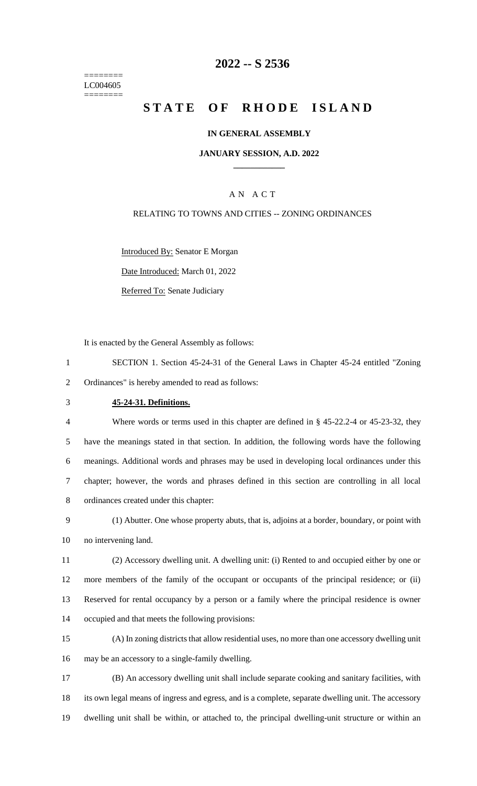======== LC004605 ========

## **-- S 2536**

# **STATE OF RHODE ISLAND**

### **IN GENERAL ASSEMBLY**

### **JANUARY SESSION, A.D. 2022 \_\_\_\_\_\_\_\_\_\_\_\_**

## A N A C T

### RELATING TO TOWNS AND CITIES -- ZONING ORDINANCES

Introduced By: Senator E Morgan Date Introduced: March 01, 2022

Referred To: Senate Judiciary

It is enacted by the General Assembly as follows:

- SECTION 1. Section 45-24-31 of the General Laws in Chapter 45-24 entitled "Zoning Ordinances" is hereby amended to read as follows:
- **45-24-31. Definitions.**

 Where words or terms used in this chapter are defined in § 45-22.2-4 or 45-23-32, they have the meanings stated in that section. In addition, the following words have the following meanings. Additional words and phrases may be used in developing local ordinances under this chapter; however, the words and phrases defined in this section are controlling in all local ordinances created under this chapter:

 (1) Abutter. One whose property abuts, that is, adjoins at a border, boundary, or point with no intervening land.

 (2) Accessory dwelling unit. A dwelling unit: (i) Rented to and occupied either by one or more members of the family of the occupant or occupants of the principal residence; or (ii) Reserved for rental occupancy by a person or a family where the principal residence is owner occupied and that meets the following provisions:

 (A) In zoning districts that allow residential uses, no more than one accessory dwelling unit may be an accessory to a single-family dwelling.

 (B) An accessory dwelling unit shall include separate cooking and sanitary facilities, with its own legal means of ingress and egress, and is a complete, separate dwelling unit. The accessory dwelling unit shall be within, or attached to, the principal dwelling-unit structure or within an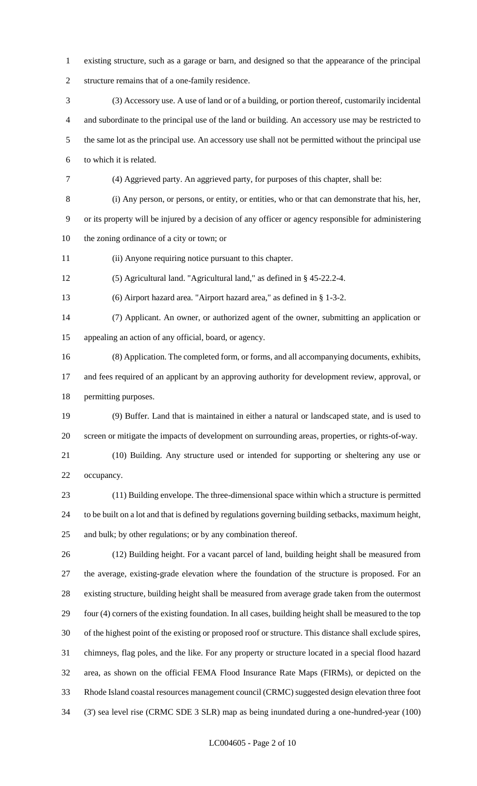- existing structure, such as a garage or barn, and designed so that the appearance of the principal structure remains that of a one-family residence.
- (3) Accessory use. A use of land or of a building, or portion thereof, customarily incidental and subordinate to the principal use of the land or building. An accessory use may be restricted to the same lot as the principal use. An accessory use shall not be permitted without the principal use to which it is related.
- (4) Aggrieved party. An aggrieved party, for purposes of this chapter, shall be:

(i) Any person, or persons, or entity, or entities, who or that can demonstrate that his, her,

 or its property will be injured by a decision of any officer or agency responsible for administering the zoning ordinance of a city or town; or

(ii) Anyone requiring notice pursuant to this chapter.

(5) Agricultural land. "Agricultural land," as defined in § 45-22.2-4.

(6) Airport hazard area. "Airport hazard area," as defined in § 1-3-2.

 (7) Applicant. An owner, or authorized agent of the owner, submitting an application or appealing an action of any official, board, or agency.

(8) Application. The completed form, or forms, and all accompanying documents, exhibits,

 and fees required of an applicant by an approving authority for development review, approval, or permitting purposes.

 (9) Buffer. Land that is maintained in either a natural or landscaped state, and is used to screen or mitigate the impacts of development on surrounding areas, properties, or rights-of-way.

 (10) Building. Any structure used or intended for supporting or sheltering any use or occupancy.

 (11) Building envelope. The three-dimensional space within which a structure is permitted to be built on a lot and that is defined by regulations governing building setbacks, maximum height, and bulk; by other regulations; or by any combination thereof.

 (12) Building height. For a vacant parcel of land, building height shall be measured from the average, existing-grade elevation where the foundation of the structure is proposed. For an existing structure, building height shall be measured from average grade taken from the outermost four (4) corners of the existing foundation. In all cases, building height shall be measured to the top of the highest point of the existing or proposed roof or structure. This distance shall exclude spires, chimneys, flag poles, and the like. For any property or structure located in a special flood hazard area, as shown on the official FEMA Flood Insurance Rate Maps (FIRMs), or depicted on the Rhode Island coastal resources management council (CRMC) suggested design elevation three foot (3') sea level rise (CRMC SDE 3 SLR) map as being inundated during a one-hundred-year (100)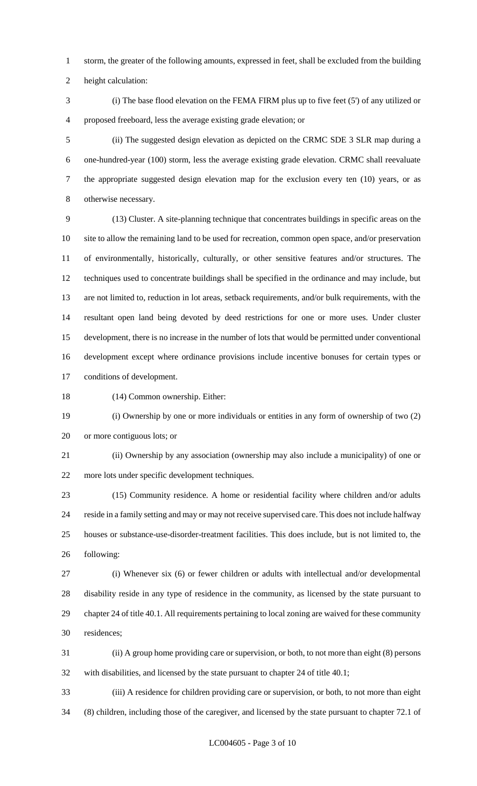storm, the greater of the following amounts, expressed in feet, shall be excluded from the building

height calculation:

 (i) The base flood elevation on the FEMA FIRM plus up to five feet (5') of any utilized or proposed freeboard, less the average existing grade elevation; or

 (ii) The suggested design elevation as depicted on the CRMC SDE 3 SLR map during a one-hundred-year (100) storm, less the average existing grade elevation. CRMC shall reevaluate the appropriate suggested design elevation map for the exclusion every ten (10) years, or as otherwise necessary.

 (13) Cluster. A site-planning technique that concentrates buildings in specific areas on the site to allow the remaining land to be used for recreation, common open space, and/or preservation of environmentally, historically, culturally, or other sensitive features and/or structures. The techniques used to concentrate buildings shall be specified in the ordinance and may include, but are not limited to, reduction in lot areas, setback requirements, and/or bulk requirements, with the resultant open land being devoted by deed restrictions for one or more uses. Under cluster development, there is no increase in the number of lots that would be permitted under conventional development except where ordinance provisions include incentive bonuses for certain types or conditions of development.

(14) Common ownership. Either:

 (i) Ownership by one or more individuals or entities in any form of ownership of two (2) or more contiguous lots; or

 (ii) Ownership by any association (ownership may also include a municipality) of one or more lots under specific development techniques.

 (15) Community residence. A home or residential facility where children and/or adults reside in a family setting and may or may not receive supervised care. This does not include halfway houses or substance-use-disorder-treatment facilities. This does include, but is not limited to, the following:

 (i) Whenever six (6) or fewer children or adults with intellectual and/or developmental disability reside in any type of residence in the community, as licensed by the state pursuant to chapter 24 of title 40.1. All requirements pertaining to local zoning are waived for these community residences;

 (ii) A group home providing care or supervision, or both, to not more than eight (8) persons with disabilities, and licensed by the state pursuant to chapter 24 of title 40.1;

 (iii) A residence for children providing care or supervision, or both, to not more than eight (8) children, including those of the caregiver, and licensed by the state pursuant to chapter 72.1 of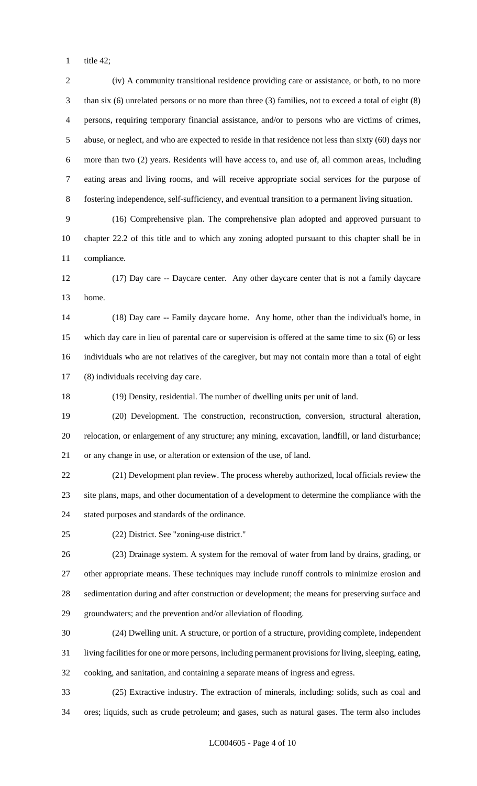title 42;

 (iv) A community transitional residence providing care or assistance, or both, to no more than six (6) unrelated persons or no more than three (3) families, not to exceed a total of eight (8) persons, requiring temporary financial assistance, and/or to persons who are victims of crimes, abuse, or neglect, and who are expected to reside in that residence not less than sixty (60) days nor more than two (2) years. Residents will have access to, and use of, all common areas, including eating areas and living rooms, and will receive appropriate social services for the purpose of fostering independence, self-sufficiency, and eventual transition to a permanent living situation. (16) Comprehensive plan. The comprehensive plan adopted and approved pursuant to chapter 22.2 of this title and to which any zoning adopted pursuant to this chapter shall be in compliance. (17) Day care -- Daycare center. Any other daycare center that is not a family daycare home. (18) Day care -- Family daycare home. Any home, other than the individual's home, in which day care in lieu of parental care or supervision is offered at the same time to six (6) or less individuals who are not relatives of the caregiver, but may not contain more than a total of eight (8) individuals receiving day care. (19) Density, residential. The number of dwelling units per unit of land. (20) Development. The construction, reconstruction, conversion, structural alteration, relocation, or enlargement of any structure; any mining, excavation, landfill, or land disturbance; or any change in use, or alteration or extension of the use, of land. (21) Development plan review. The process whereby authorized, local officials review the site plans, maps, and other documentation of a development to determine the compliance with the stated purposes and standards of the ordinance. (22) District. See "zoning-use district." (23) Drainage system. A system for the removal of water from land by drains, grading, or other appropriate means. These techniques may include runoff controls to minimize erosion and sedimentation during and after construction or development; the means for preserving surface and groundwaters; and the prevention and/or alleviation of flooding. (24) Dwelling unit. A structure, or portion of a structure, providing complete, independent living facilities for one or more persons, including permanent provisions for living, sleeping, eating, cooking, and sanitation, and containing a separate means of ingress and egress. (25) Extractive industry. The extraction of minerals, including: solids, such as coal and ores; liquids, such as crude petroleum; and gases, such as natural gases. The term also includes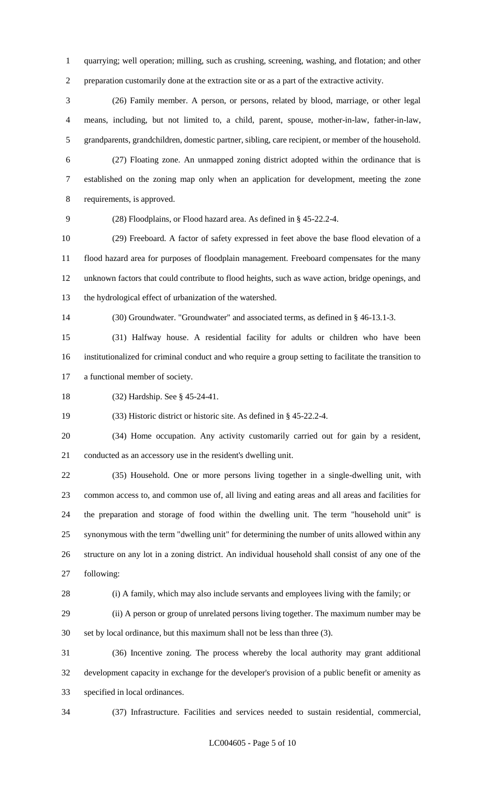quarrying; well operation; milling, such as crushing, screening, washing, and flotation; and other preparation customarily done at the extraction site or as a part of the extractive activity.

 (26) Family member. A person, or persons, related by blood, marriage, or other legal means, including, but not limited to, a child, parent, spouse, mother-in-law, father-in-law, grandparents, grandchildren, domestic partner, sibling, care recipient, or member of the household.

 (27) Floating zone. An unmapped zoning district adopted within the ordinance that is established on the zoning map only when an application for development, meeting the zone requirements, is approved.

(28) Floodplains, or Flood hazard area. As defined in § 45-22.2-4.

 (29) Freeboard. A factor of safety expressed in feet above the base flood elevation of a flood hazard area for purposes of floodplain management. Freeboard compensates for the many unknown factors that could contribute to flood heights, such as wave action, bridge openings, and the hydrological effect of urbanization of the watershed.

(30) Groundwater. "Groundwater" and associated terms, as defined in § 46-13.1-3.

 (31) Halfway house. A residential facility for adults or children who have been institutionalized for criminal conduct and who require a group setting to facilitate the transition to a functional member of society.

(32) Hardship. See § 45-24-41.

(33) Historic district or historic site. As defined in § 45-22.2-4.

 (34) Home occupation. Any activity customarily carried out for gain by a resident, conducted as an accessory use in the resident's dwelling unit.

 (35) Household. One or more persons living together in a single-dwelling unit, with common access to, and common use of, all living and eating areas and all areas and facilities for the preparation and storage of food within the dwelling unit. The term "household unit" is synonymous with the term "dwelling unit" for determining the number of units allowed within any structure on any lot in a zoning district. An individual household shall consist of any one of the following:

(i) A family, which may also include servants and employees living with the family; or

 (ii) A person or group of unrelated persons living together. The maximum number may be set by local ordinance, but this maximum shall not be less than three (3).

 (36) Incentive zoning. The process whereby the local authority may grant additional development capacity in exchange for the developer's provision of a public benefit or amenity as specified in local ordinances.

(37) Infrastructure. Facilities and services needed to sustain residential, commercial,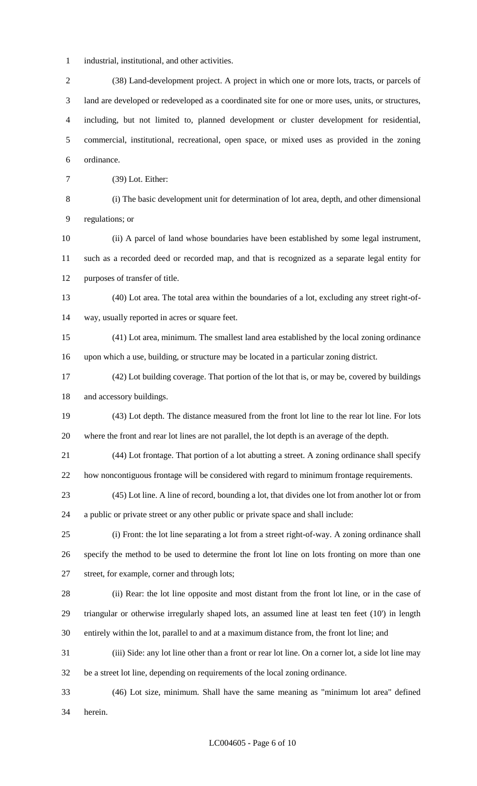- industrial, institutional, and other activities.
- (38) Land-development project. A project in which one or more lots, tracts, or parcels of land are developed or redeveloped as a coordinated site for one or more uses, units, or structures, including, but not limited to, planned development or cluster development for residential, commercial, institutional, recreational, open space, or mixed uses as provided in the zoning ordinance.
- (39) Lot. Either:

 (i) The basic development unit for determination of lot area, depth, and other dimensional regulations; or

 (ii) A parcel of land whose boundaries have been established by some legal instrument, such as a recorded deed or recorded map, and that is recognized as a separate legal entity for purposes of transfer of title.

- (40) Lot area. The total area within the boundaries of a lot, excluding any street right-of-way, usually reported in acres or square feet.
- (41) Lot area, minimum. The smallest land area established by the local zoning ordinance upon which a use, building, or structure may be located in a particular zoning district.
- (42) Lot building coverage. That portion of the lot that is, or may be, covered by buildings and accessory buildings.
- (43) Lot depth. The distance measured from the front lot line to the rear lot line. For lots where the front and rear lot lines are not parallel, the lot depth is an average of the depth.
- (44) Lot frontage. That portion of a lot abutting a street. A zoning ordinance shall specify how noncontiguous frontage will be considered with regard to minimum frontage requirements.
- (45) Lot line. A line of record, bounding a lot, that divides one lot from another lot or from a public or private street or any other public or private space and shall include:
- (i) Front: the lot line separating a lot from a street right-of-way. A zoning ordinance shall specify the method to be used to determine the front lot line on lots fronting on more than one street, for example, corner and through lots;
- (ii) Rear: the lot line opposite and most distant from the front lot line, or in the case of triangular or otherwise irregularly shaped lots, an assumed line at least ten feet (10') in length entirely within the lot, parallel to and at a maximum distance from, the front lot line; and
- (iii) Side: any lot line other than a front or rear lot line. On a corner lot, a side lot line may be a street lot line, depending on requirements of the local zoning ordinance.
- (46) Lot size, minimum. Shall have the same meaning as "minimum lot area" defined herein.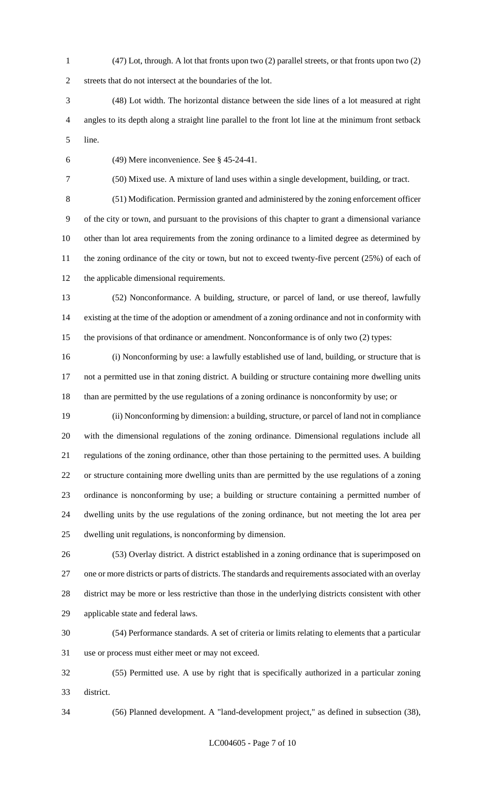(47) Lot, through. A lot that fronts upon two (2) parallel streets, or that fronts upon two (2)

streets that do not intersect at the boundaries of the lot.

 (48) Lot width. The horizontal distance between the side lines of a lot measured at right angles to its depth along a straight line parallel to the front lot line at the minimum front setback line.

(49) Mere inconvenience. See § 45-24-41.

(50) Mixed use. A mixture of land uses within a single development, building, or tract.

 (51) Modification. Permission granted and administered by the zoning enforcement officer of the city or town, and pursuant to the provisions of this chapter to grant a dimensional variance other than lot area requirements from the zoning ordinance to a limited degree as determined by 11 the zoning ordinance of the city or town, but not to exceed twenty-five percent (25%) of each of the applicable dimensional requirements.

 (52) Nonconformance. A building, structure, or parcel of land, or use thereof, lawfully existing at the time of the adoption or amendment of a zoning ordinance and not in conformity with the provisions of that ordinance or amendment. Nonconformance is of only two (2) types:

 (i) Nonconforming by use: a lawfully established use of land, building, or structure that is not a permitted use in that zoning district. A building or structure containing more dwelling units than are permitted by the use regulations of a zoning ordinance is nonconformity by use; or

 (ii) Nonconforming by dimension: a building, structure, or parcel of land not in compliance with the dimensional regulations of the zoning ordinance. Dimensional regulations include all regulations of the zoning ordinance, other than those pertaining to the permitted uses. A building or structure containing more dwelling units than are permitted by the use regulations of a zoning ordinance is nonconforming by use; a building or structure containing a permitted number of dwelling units by the use regulations of the zoning ordinance, but not meeting the lot area per dwelling unit regulations, is nonconforming by dimension.

 (53) Overlay district. A district established in a zoning ordinance that is superimposed on one or more districts or parts of districts. The standards and requirements associated with an overlay district may be more or less restrictive than those in the underlying districts consistent with other applicable state and federal laws.

 (54) Performance standards. A set of criteria or limits relating to elements that a particular use or process must either meet or may not exceed.

 (55) Permitted use. A use by right that is specifically authorized in a particular zoning district.

(56) Planned development. A "land-development project," as defined in subsection (38),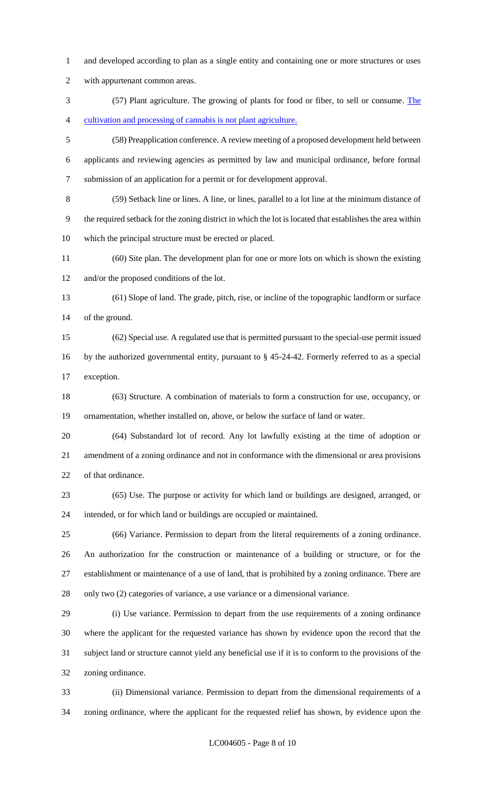and developed according to plan as a single entity and containing one or more structures or uses

with appurtenant common areas.

 (57) Plant agriculture. The growing of plants for food or fiber, to sell or consume. The cultivation and processing of cannabis is not plant agriculture.

 (58) Preapplication conference. A review meeting of a proposed development held between applicants and reviewing agencies as permitted by law and municipal ordinance, before formal submission of an application for a permit or for development approval.

 (59) Setback line or lines. A line, or lines, parallel to a lot line at the minimum distance of the required setback for the zoning district in which the lot is located that establishes the area within which the principal structure must be erected or placed.

 (60) Site plan. The development plan for one or more lots on which is shown the existing and/or the proposed conditions of the lot.

 (61) Slope of land. The grade, pitch, rise, or incline of the topographic landform or surface of the ground.

 (62) Special use. A regulated use that is permitted pursuant to the special-use permit issued by the authorized governmental entity, pursuant to § 45-24-42. Formerly referred to as a special exception.

 (63) Structure. A combination of materials to form a construction for use, occupancy, or ornamentation, whether installed on, above, or below the surface of land or water.

 (64) Substandard lot of record. Any lot lawfully existing at the time of adoption or amendment of a zoning ordinance and not in conformance with the dimensional or area provisions of that ordinance.

 (65) Use. The purpose or activity for which land or buildings are designed, arranged, or intended, or for which land or buildings are occupied or maintained.

 (66) Variance. Permission to depart from the literal requirements of a zoning ordinance. An authorization for the construction or maintenance of a building or structure, or for the establishment or maintenance of a use of land, that is prohibited by a zoning ordinance. There are only two (2) categories of variance, a use variance or a dimensional variance.

 (i) Use variance. Permission to depart from the use requirements of a zoning ordinance where the applicant for the requested variance has shown by evidence upon the record that the subject land or structure cannot yield any beneficial use if it is to conform to the provisions of the zoning ordinance.

 (ii) Dimensional variance. Permission to depart from the dimensional requirements of a zoning ordinance, where the applicant for the requested relief has shown, by evidence upon the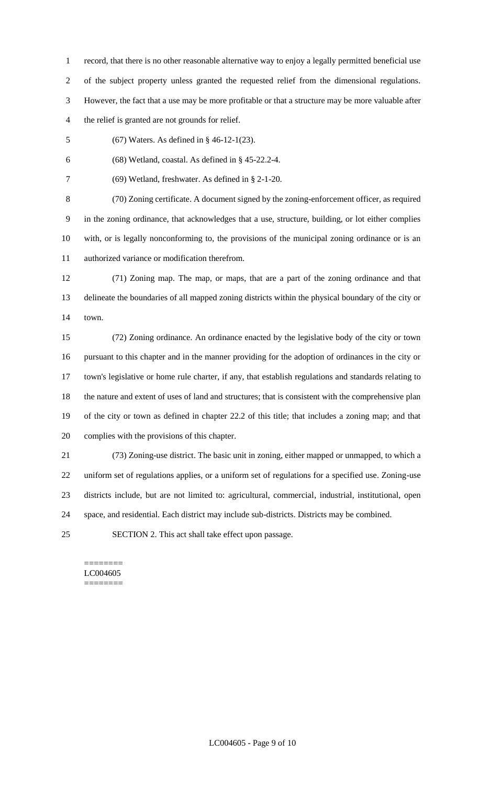record, that there is no other reasonable alternative way to enjoy a legally permitted beneficial use of the subject property unless granted the requested relief from the dimensional regulations. However, the fact that a use may be more profitable or that a structure may be more valuable after the relief is granted are not grounds for relief.

(67) Waters. As defined in § 46-12-1(23).

6 (68) Wetland, coastal. As defined in  $§$  45-22.2-4.

(69) Wetland, freshwater. As defined in § 2-1-20.

 (70) Zoning certificate. A document signed by the zoning-enforcement officer, as required in the zoning ordinance, that acknowledges that a use, structure, building, or lot either complies with, or is legally nonconforming to, the provisions of the municipal zoning ordinance or is an authorized variance or modification therefrom.

 (71) Zoning map. The map, or maps, that are a part of the zoning ordinance and that delineate the boundaries of all mapped zoning districts within the physical boundary of the city or town.

 (72) Zoning ordinance. An ordinance enacted by the legislative body of the city or town pursuant to this chapter and in the manner providing for the adoption of ordinances in the city or town's legislative or home rule charter, if any, that establish regulations and standards relating to the nature and extent of uses of land and structures; that is consistent with the comprehensive plan of the city or town as defined in chapter 22.2 of this title; that includes a zoning map; and that complies with the provisions of this chapter.

 (73) Zoning-use district. The basic unit in zoning, either mapped or unmapped, to which a uniform set of regulations applies, or a uniform set of regulations for a specified use. Zoning-use districts include, but are not limited to: agricultural, commercial, industrial, institutional, open space, and residential. Each district may include sub-districts. Districts may be combined.

SECTION 2. This act shall take effect upon passage.

======== LC004605 ========